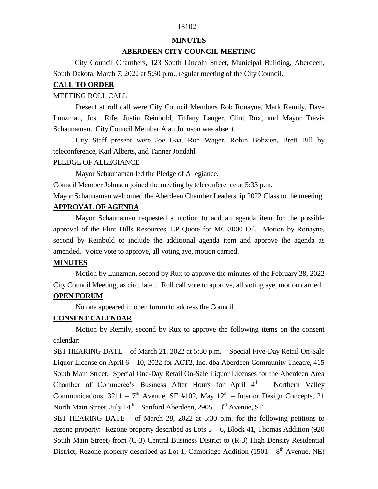# 18102

#### **MINUTES**

### **ABERDEEN CITY COUNCIL MEETING**

 City Council Chambers, 123 South Lincoln Street, Municipal Building, Aberdeen, South Dakota, March 7, 2022 at 5:30 p.m., regular meeting of the City Council.

#### **CALL TO ORDER**

#### MEETING ROLL CALL

Present at roll call were City Council Members Rob Ronayne, Mark Remily, Dave Lunzman, Josh Rife, Justin Reinbold, Tiffany Langer, Clint Rux, and Mayor Travis Schaunaman. City Council Member Alan Johnson was absent.

City Staff present were Joe Gaa, Ron Wager, Robin Bobzien, Brett Bill by teleconference, Karl Alberts, and Tanner Jondahl.

#### PLEDGE OF ALLEGIANCE

Mayor Schaunaman led the Pledge of Allegiance.

Council Member Johnson joined the meeting by teleconference at 5:33 p.m.

Mayor Schaunaman welcomed the Aberdeen Chamber Leadership 2022 Class to the meeting.

### **APPROVAL OF AGENDA**

Mayor Schaunaman requested a motion to add an agenda item for the possible approval of the Flint Hills Resources, LP Quote for MC-3000 Oil. Motion by Ronayne, second by Reinbold to include the additional agenda item and approve the agenda as amended. Voice vote to approve, all voting aye, motion carried.

### **MINUTES**

Motion by Lunzman, second by Rux to approve the minutes of the February 28, 2022 City Council Meeting, as circulated. Roll call vote to approve, all voting aye, motion carried.

#### **OPEN FORUM**

No one appeared in open forum to address the Council.

### **CONSENT CALENDAR**

Motion by Remily, second by Rux to approve the following items on the consent calendar:

SET HEARING DATE – of March 21, 2022 at 5:30 p.m. – Special Five-Day Retail On-Sale Liquor License on April 6 – 10, 2022 for ACT2, Inc. dba Aberdeen Community Theatre, 415 South Main Street; Special One-Day Retail On-Sale Liquor Licenses for the Aberdeen Area Chamber of Commerce's Business After Hours for April  $4<sup>th</sup>$  – Northern Valley Communications, 3211 –  $7<sup>th</sup>$  Avenue, SE #102, May 12<sup>th</sup> – Interior Design Concepts, 21 North Main Street, July 14<sup>th</sup> – Sanford Aberdeen, 2905 – 3<sup>rd</sup> Avenue, SE

SET HEARING DATE – of March 28, 2022 at 5:30 p.m. for the following petitions to rezone property: Rezone property described as Lots  $5 - 6$ , Block 41, Thomas Addition (920) South Main Street) from (C-3) Central Business District to (R-3) High Density Residential District; Rezone property described as Lot 1, Cambridge Addition  $(1501 - 8<sup>th</sup>$  Avenue, NE)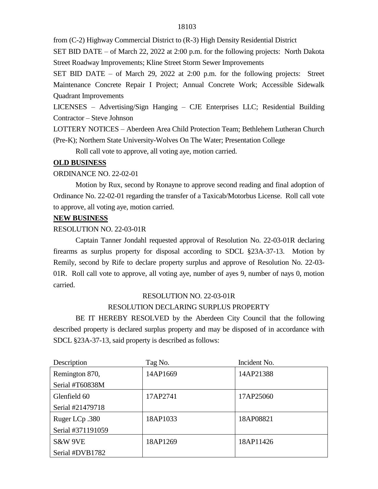from (C-2) Highway Commercial District to (R-3) High Density Residential District

SET BID DATE – of March 22, 2022 at 2:00 p.m. for the following projects: North Dakota Street Roadway Improvements; Kline Street Storm Sewer Improvements

SET BID DATE – of March 29, 2022 at 2:00 p.m. for the following projects: Street Maintenance Concrete Repair I Project; Annual Concrete Work; Accessible Sidewalk Quadrant Improvements

LICENSES – Advertising/Sign Hanging – CJE Enterprises LLC; Residential Building Contractor – Steve Johnson

LOTTERY NOTICES – Aberdeen Area Child Protection Team; Bethlehem Lutheran Church (Pre-K); Northern State University-Wolves On The Water; Presentation College

Roll call vote to approve, all voting aye, motion carried.

## **OLD BUSINESS**

## ORDINANCE NO. 22-02-01

Motion by Rux, second by Ronayne to approve second reading and final adoption of Ordinance No. 22-02-01 regarding the transfer of a Taxicab/Motorbus License. Roll call vote to approve, all voting aye, motion carried.

## **NEW BUSINESS**

## RESOLUTION NO. 22-03-01R

Captain Tanner Jondahl requested approval of Resolution No. 22-03-01R declaring firearms as surplus property for disposal according to SDCL §23A-37-13. Motion by Remily, second by Rife to declare property surplus and approve of Resolution No. 22-03- 01R. Roll call vote to approve, all voting aye, number of ayes 9, number of nays 0, motion carried.

# RESOLUTION NO. 22-03-01R

# RESOLUTION DECLARING SURPLUS PROPERTY

BE IT HEREBY RESOLVED by the Aberdeen City Council that the following described property is declared surplus property and may be disposed of in accordance with SDCL §23A-37-13, said property is described as follows:

| Description       | Tag No.  | Incident No. |
|-------------------|----------|--------------|
| Remington 870,    | 14AP1669 | 14AP21388    |
| Serial #T60838M   |          |              |
| Glenfield 60      | 17AP2741 | 17AP25060    |
| Serial #21479718  |          |              |
| Ruger LCp.380     | 18AP1033 | 18AP08821    |
| Serial #371191059 |          |              |
| S&W 9VE           | 18AP1269 | 18AP11426    |
| Serial #DVB1782   |          |              |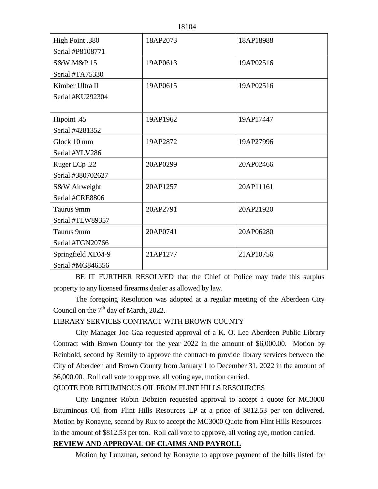| High Point .380           | 18AP2073 | 18AP18988 |
|---------------------------|----------|-----------|
| Serial #P8108771          |          |           |
| <b>S&amp;W M&amp;P 15</b> | 19AP0613 | 19AP02516 |
| Serial #TA75330           |          |           |
| Kimber Ultra II           | 19AP0615 | 19AP02516 |
| Serial #KU292304          |          |           |
|                           |          |           |
| Hipoint .45               | 19AP1962 | 19AP17447 |
| Serial #4281352           |          |           |
| Glock 10 mm               | 19AP2872 | 19AP27996 |
| Serial #YLV286            |          |           |
| Ruger LCp.22              | 20AP0299 | 20AP02466 |
| Serial #380702627         |          |           |
| S&W Airweight             | 20AP1257 | 20AP11161 |
| Serial #CRE8806           |          |           |
| Taurus 9mm                | 20AP2791 | 20AP21920 |
| Serial #TLW89357          |          |           |
| Taurus 9mm                | 20AP0741 | 20AP06280 |
| Serial #TGN20766          |          |           |
| Springfield XDM-9         | 21AP1277 | 21AP10756 |
| Serial #MG846556          |          |           |

BE IT FURTHER RESOLVED that the Chief of Police may trade this surplus property to any licensed firearms dealer as allowed by law.

The foregoing Resolution was adopted at a regular meeting of the Aberdeen City Council on the  $7<sup>th</sup>$  day of March, 2022.

## LIBRARY SERVICES CONTRACT WITH BROWN COUNTY

City Manager Joe Gaa requested approval of a K. O. Lee Aberdeen Public Library Contract with Brown County for the year 2022 in the amount of \$6,000.00. Motion by Reinbold, second by Remily to approve the contract to provide library services between the City of Aberdeen and Brown County from January 1 to December 31, 2022 in the amount of \$6,000.00. Roll call vote to approve, all voting aye, motion carried.

## QUOTE FOR BITUMINOUS OIL FROM FLINT HILLS RESOURCES

City Engineer Robin Bobzien requested approval to accept a quote for MC3000 Bituminous Oil from Flint Hills Resources LP at a price of \$812.53 per ton delivered. Motion by Ronayne, second by Rux to accept the MC3000 Quote from Flint Hills Resources in the amount of \$812.53 per ton. Roll call vote to approve, all voting aye, motion carried.

## **REVIEW AND APPROVAL OF CLAIMS AND PAYROLL**

Motion by Lunzman, second by Ronayne to approve payment of the bills listed for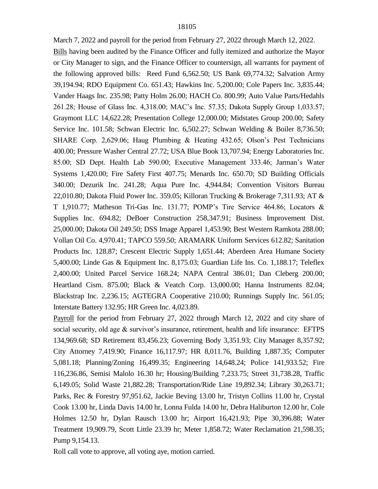March 7, 2022 and payroll for the period from February 27, 2022 through March 12, 2022.

Bills having been audited by the Finance Officer and fully itemized and authorize the Mayor or City Manager to sign, and the Finance Officer to countersign, all warrants for payment of the following approved bills: Reed Fund 6,562.50; US Bank 69,774.32; Salvation Army 39,194.94; RDO Equipment Co. 651.43; Hawkins Inc. 5,200.00; Cole Papers Inc. 3,835.44; Vander Haags Inc. 235.98; Patty Holm 26.00; HACH Co. 800.99; Auto Value Parts/Hedahls 261.28; House of Glass Inc. 4,318.00; MAC's Inc. 57.35; Dakota Supply Group 1,033.57; Graymont LLC 14,622.28; Presentation College 12,000.00; Midstates Group 200.00; Safety Service Inc. 101.58; Schwan Electric Inc. 6,502.27; Schwan Welding & Boiler 8,736.50; SHARE Corp. 2,629.06; Haug Plumbing & Heating 432.65; Olson's Pest Technicians 400.00; Pressure Washer Central 27.72; USA Blue Book 13,707.94; Energy Laboratories Inc. 85.00; SD Dept. Health Lab 590.00; Executive Management 333.46; Jarman's Water Systems 1,420.00; Fire Safety First 407.75; Menards Inc. 650.70; SD Building Officials 340.00; Dezurik Inc. 241.28; Aqua Pure Inc. 4,944.84; Convention Visitors Bureau 22,010.80; Dakota Fluid Power Inc. 359.05; Killoran Trucking & Brokerage 7,311.93; AT & T 1,910.77; Matheson Tri-Gas Inc. 131.77; POMP's Tire Service 464.86; Locators & Supplies Inc. 694.82; DeBoer Construction 258,347.91; Business Improvement Dist. 25,000.00; Dakota Oil 249.50; DSS Image Apparel 1,453.90; Best Western Ramkota 288.00; Vollan Oil Co. 4,970.41; TAPCO 559.50; ARAMARK Uniform Services 612.82; Sanitation Products Inc. 128.87; Crescent Electric Supply 1,651.44; Aberdeen Area Humane Society 5,400.00; Linde Gas & Equipment Inc. 8,175.03; Guardian Life Ins. Co. 1,188.17; Teleflex 2,400.00; United Parcel Service 168.24; NAPA Central 386.01; Dan Cleberg 200.00; Heartland Cism. 875.00; Black & Veatch Corp. 13,000.00; Hanna Instruments 82.04; Blackstrap Inc. 2,236.15; AGTEGRA Cooperative 210.00; Runnings Supply Inc. 561.05; Interstate Battery 132.95; HR Green Inc. 4,023.89.

Payroll for the period from February 27, 2022 through March 12, 2022 and city share of social security, old age & survivor's insurance, retirement, health and life insurance: EFTPS 134,969.68; SD Retirement 83,456.23; Governing Body 3,351.93; City Manager 8,357.92; City Attorney 7,419.90; Finance 16,117.97; HR 8,011.76, Building 1,887.35; Computer 5,081.18; Planning/Zoning 16,499.35; Engineering 14,648.24; Police 141,933.52; Fire 116,236.86, Semisi Malolo 16.30 hr; Housing/Building 7,233.75; Street 31,738.28, Traffic 6,149.05; Solid Waste 21,882.28; Transportation/Ride Line 19,892.34; Library 30,263.71; Parks, Rec & Forestry 97,951.62, Jackie Beving 13.00 hr, Tristyn Collins 11.00 hr, Crystal Cook 13.00 hr, Linda Davis 14.00 hr, Lonna Fulda 14.00 hr, Debra Haliburton 12.00 hr, Cole Holmes 12.50 hr, Dylan Rausch 13.00 hr; Airport 16,421.93; Pipe 30,396.88; Water Treatment 19,909.79, Scott Little 23.39 hr; Meter 1,858.72; Water Reclamation 21,598.35; Pump 9,154.13.

Roll call vote to approve, all voting aye, motion carried.